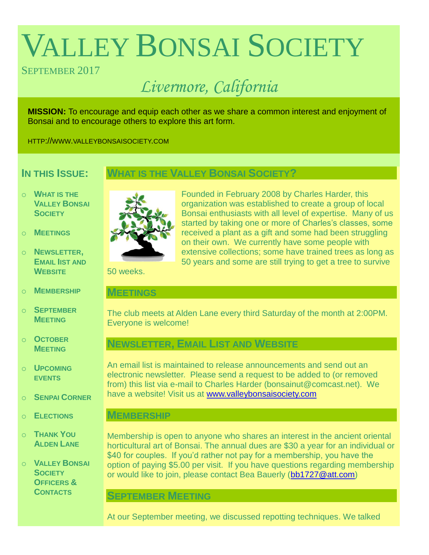# VALLEY BONSAI SOCIETY

# SEPTEMBER 2017

# *Livermore, California*

**MISSION:** To encourage and equip each other as we share a common interest and enjoyment of Bonsai and to encourage others to explore this art form.

HTTP://WWW.VALLEYBONSAISOCIETY.COM

# **IN THIS ISSUE:**

# **WHAT IS THE VALLEY BONSAI SOCIETY?**

- o **WHAT IS THE VALLEY BONSAI SOCIETY**
- o **MEETINGS**
- o **NEWSLETTER, EMAIL IIST AND WEBSITE**
- o **MEMBERSHIP**
- o **SEPTEMBER MEETING**
- o **OCTOBER MEETING**
- o **UPCOMING EVENTS**
- o **SENPAI CORNER**
- o **ELECTIONS**
- o **THANK YOU ALDEN LANE**

o **VALLEY BONSAI SOCIETY OFFICERS & CONTACTS**



Founded in February 2008 by Charles Harder, this organization was established to create a group of local Bonsai enthusiasts with all level of expertise. Many of us started by taking one or more of Charles's classes, some received a plant as a gift and some had been struggling on their own. We currently have some people with extensive collections; some have trained trees as long as 50 years and some are still trying to get a tree to survive

50 weeks.

#### **MEETINGS**

The club meets at Alden Lane every third Saturday of the month at 2:00PM. Everyone is welcome!

# **NEWSLETTER, EMAIL LIST AND WEBSITE**

An email list is maintained to release announcements and send out an electronic newsletter. Please send a request to be added to (or removed from) this list via e-mail to Charles Harder (bonsainut@comcast.net). We have a website! Visit us at [www.valleybonsaisociety.com](http://www.valleybonsaisociety.com/)

## **MEMBERSHIP**

Membership is open to anyone who shares an interest in the ancient oriental horticultural art of Bonsai. The annual dues are \$30 a year for an individual or \$40 for couples. If you'd rather not pay for a membership, you have the option of paying \$5.00 per visit. If you have questions regarding membership or would like to join, please contact Bea Bauerly [\(bb1727@att.com\)](mailto:bb1727@att.com)

## **SEPTEMBER MEETING**

At our September meeting, we discussed repotting techniques. We talked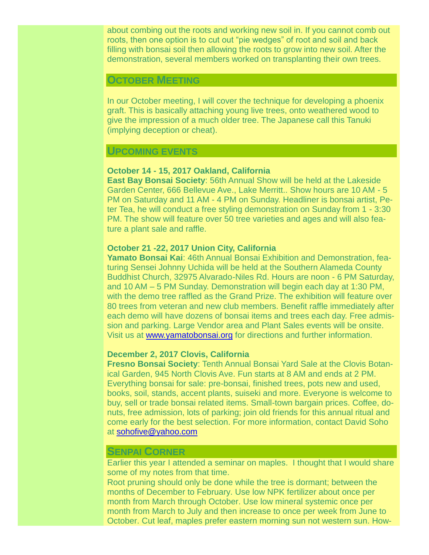about combing out the roots and working new soil in. If you cannot comb out roots, then one option is to cut out "pie wedges" of root and soil and back filling with bonsai soil then allowing the roots to grow into new soil. After the demonstration, several members worked on transplanting their own trees.

#### **OCTOBER MEETING**

In our October meeting, I will cover the technique for developing a phoenix graft. This is basically attaching young live trees, onto weathered wood to give the impression of a much older tree. The Japanese call this Tanuki (implying deception or cheat).

# **UPCOMING EVENTS**

#### **October 14 - 15, 2017 Oakland, California**

**East Bay Bonsai Society**: 56th Annual Show will be held at the Lakeside Garden Center, 666 Bellevue Ave., Lake Merritt.. Show hours are 10 AM - 5 PM on Saturday and 11 AM - 4 PM on Sunday. Headliner is bonsai artist, Peter Tea, he will conduct a free styling demonstration on Sunday from 1 - 3:30 PM. The show will feature over 50 tree varieties and ages and will also feature a plant sale and raffle.

#### **October 21 -22, 2017 Union City, California**

**Yamato Bonsai Kai**: 46th Annual Bonsai Exhibition and Demonstration, featuring Sensei Johnny Uchida will be held at the Southern Alameda County Buddhist Church, 32975 Alvarado-Niles Rd. Hours are noon - 6 PM Saturday, and 10 AM – 5 PM Sunday. Demonstration will begin each day at 1:30 PM, with the demo tree raffled as the Grand Prize. The exhibition will feature over 80 trees from veteran and new club members. Benefit raffle immediately after each demo will have dozens of bonsai items and trees each day. Free admission and parking. Large Vendor area and Plant Sales events will be onsite. Visit us at [www.yamatobonsai.org](http://www.yamatobonsai.org/) for directions and further information.

#### **December 2, 2017 Clovis, California**

**Fresno Bonsai Society**: Tenth Annual Bonsai Yard Sale at the Clovis Botanical Garden, 945 North Clovis Ave. Fun starts at 8 AM and ends at 2 PM. Everything bonsai for sale: pre-bonsai, finished trees, pots new and used, books, soil, stands, accent plants, suiseki and more. Everyone is welcome to buy, sell or trade bonsai related items. Small-town bargain prices. Coffee, donuts, free admission, lots of parking; join old friends for this annual ritual and come early for the best selection. For more information, contact David Soho at [sohofive@yahoo.com](mailto:sohofive@yahoo.com)

#### **SENPAI CORNER**

Earlier this year I attended a seminar on maples. I thought that I would share some of my notes from that time.

Root pruning should only be done while the tree is dormant; between the months of December to February. Use low NPK fertilizer about once per month from March through October. Use low mineral systemic once per month from March to July and then increase to once per week from June to October. Cut leaf, maples prefer eastern morning sun not western sun. How